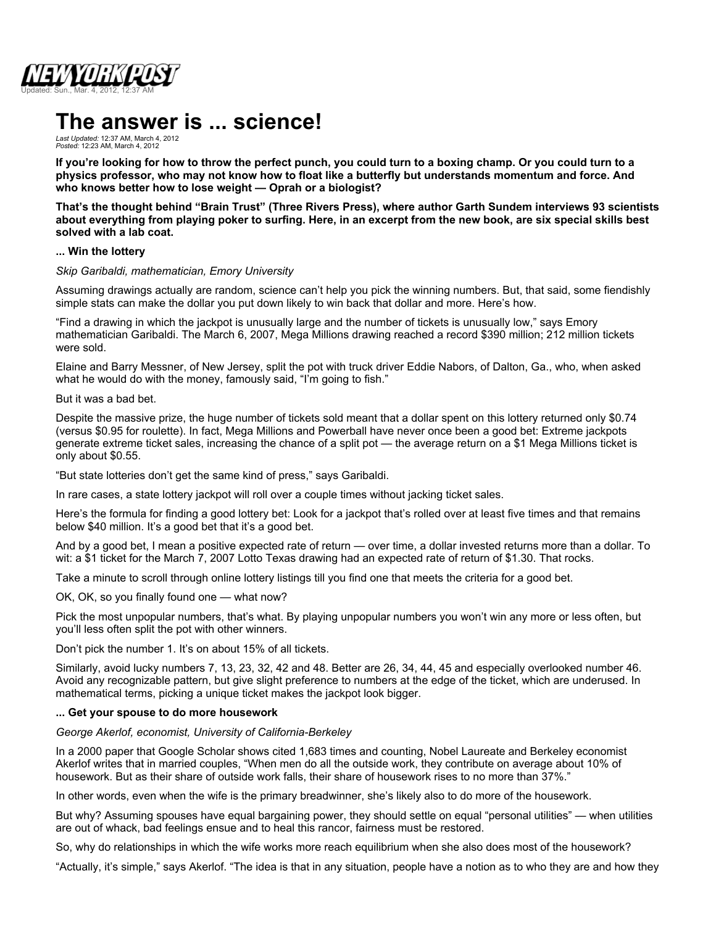

# **The answer is ... science!**

*Last Updated:* 12:37 AM, March 4, 2012 *Posted:* 12:23 AM, March 4, 2012

**If you're looking for how to throw the perfect punch, you could turn to a boxing champ. Or you could turn to a physics professor, who may not know how to float like a butterfly but understands momentum and force. And who knows better how to lose weight — Oprah or a biologist?**

**That's the thought behind "Brain Trust" (Three Rivers Press), where author Garth Sundem interviews 93 scientists about everything from playing poker to surfing. Here, in an excerpt from the new book, are six special skills best solved with a lab coat.**

#### **... Win the lottery**

#### *Skip Garibaldi, mathematician, Emory University*

Assuming drawings actually are random, science can't help you pick the winning numbers. But, that said, some fiendishly simple stats can make the dollar you put down likely to win back that dollar and more. Here's how.

"Find a drawing in which the jackpot is unusually large and the number of tickets is unusually low," says Emory mathematician Garibaldi. The March 6, 2007, Mega Millions drawing reached a record \$390 million; 212 million tickets were sold.

Elaine and Barry Messner, of New Jersey, split the pot with truck driver Eddie Nabors, of Dalton, Ga., who, when asked what he would do with the money, famously said, "I'm going to fish."

But it was a bad bet.

Despite the massive prize, the huge number of tickets sold meant that a dollar spent on this lottery returned only \$0.74 (versus \$0.95 for roulette). In fact, Mega Millions and Powerball have never once been a good bet: Extreme jackpots generate extreme ticket sales, increasing the chance of a split pot — the average return on a \$1 Mega Millions ticket is only about \$0.55.

"But state lotteries don't get the same kind of press," says Garibaldi.

In rare cases, a state lottery jackpot will roll over a couple times without jacking ticket sales.

Here's the formula for finding a good lottery bet: Look for a jackpot that's rolled over at least five times and that remains below \$40 million. It's a good bet that it's a good bet.

And by a good bet, I mean a positive expected rate of return — over time, a dollar invested returns more than a dollar. To wit: a \$1 ticket for the March 7, 2007 Lotto Texas drawing had an expected rate of return of \$1.30. That rocks.

Take a minute to scroll through online lottery listings till you find one that meets the criteria for a good bet.

OK, OK, so you finally found one — what now?

Pick the most unpopular numbers, that's what. By playing unpopular numbers you won't win any more or less often, but you'll less often split the pot with other winners.

Don't pick the number 1. It's on about 15% of all tickets.

Similarly, avoid lucky numbers 7, 13, 23, 32, 42 and 48. Better are 26, 34, 44, 45 and especially overlooked number 46. Avoid any recognizable pattern, but give slight preference to numbers at the edge of the ticket, which are underused. In mathematical terms, picking a unique ticket makes the jackpot look bigger.

#### **... Get your spouse to do more housework**

*George Akerlof, economist, University of California-Berkeley*

In a 2000 paper that Google Scholar shows cited 1,683 times and counting, Nobel Laureate and Berkeley economist Akerlof writes that in married couples, "When men do all the outside work, they contribute on average about 10% of housework. But as their share of outside work falls, their share of housework rises to no more than 37%."

In other words, even when the wife is the primary breadwinner, she's likely also to do more of the housework.

But why? Assuming spouses have equal bargaining power, they should settle on equal "personal utilities" — when utilities are out of whack, bad feelings ensue and to heal this rancor, fairness must be restored.

So, why do relationships in which the wife works more reach equilibrium when she also does most of the housework?

"Actually, it's simple," says Akerlof. "The idea is that in any situation, people have a notion as to who they are and how they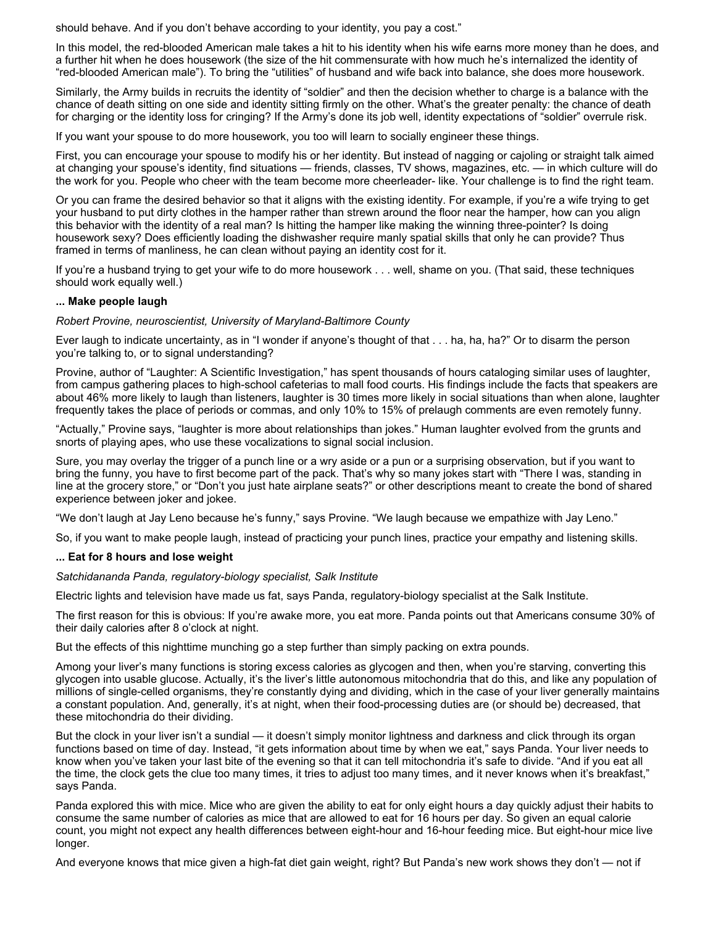should behave. And if you don't behave according to your identity, you pay a cost."

In this model, the red-blooded American male takes a hit to his identity when his wife earns more money than he does, and a further hit when he does housework (the size of the hit commensurate with how much he's internalized the identity of "red-blooded American male"). To bring the "utilities" of husband and wife back into balance, she does more housework.

Similarly, the Army builds in recruits the identity of "soldier" and then the decision whether to charge is a balance with the chance of death sitting on one side and identity sitting firmly on the other. What's the greater penalty: the chance of death for charging or the identity loss for cringing? If the Army's done its job well, identity expectations of "soldier" overrule risk.

If you want your spouse to do more housework, you too will learn to socially engineer these things.

First, you can encourage your spouse to modify his or her identity. But instead of nagging or cajoling or straight talk aimed at changing your spouse's identity, find situations — friends, classes, TV shows, magazines, etc. — in which culture will do the work for you. People who cheer with the team become more cheerleader- like. Your challenge is to find the right team.

Or you can frame the desired behavior so that it aligns with the existing identity. For example, if you're a wife trying to get your husband to put dirty clothes in the hamper rather than strewn around the floor near the hamper, how can you align this behavior with the identity of a real man? Is hitting the hamper like making the winning three-pointer? Is doing housework sexy? Does efficiently loading the dishwasher require manly spatial skills that only he can provide? Thus framed in terms of manliness, he can clean without paying an identity cost for it.

If you're a husband trying to get your wife to do more housework . . . well, shame on you. (That said, these techniques should work equally well.)

#### **... Make people laugh**

*Robert Provine, neuroscientist, University of Maryland-Baltimore County*

Ever laugh to indicate uncertainty, as in "I wonder if anyone's thought of that . . . ha, ha, ha?" Or to disarm the person you're talking to, or to signal understanding?

Provine, author of "Laughter: A Scientific Investigation," has spent thousands of hours cataloging similar uses of laughter, from campus gathering places to high-school cafeterias to mall food courts. His findings include the facts that speakers are about 46% more likely to laugh than listeners, laughter is 30 times more likely in social situations than when alone, laughter frequently takes the place of periods or commas, and only 10% to 15% of prelaugh comments are even remotely funny.

"Actually," Provine says, "laughter is more about relationships than jokes." Human laughter evolved from the grunts and snorts of playing apes, who use these vocalizations to signal social inclusion.

Sure, you may overlay the trigger of a punch line or a wry aside or a pun or a surprising observation, but if you want to bring the funny, you have to first become part of the pack. That's why so many jokes start with "There I was, standing in line at the grocery store," or "Don't you just hate airplane seats?" or other descriptions meant to create the bond of shared experience between joker and jokee.

"We don't laugh at Jay Leno because he's funny," says Provine. "We laugh because we empathize with Jay Leno."

So, if you want to make people laugh, instead of practicing your punch lines, practice your empathy and listening skills.

#### **... Eat for 8 hours and lose weight**

*Satchidananda Panda, regulatory-biology specialist, Salk Institute*

Electric lights and television have made us fat, says Panda, regulatory-biology specialist at the Salk Institute.

The first reason for this is obvious: If you're awake more, you eat more. Panda points out that Americans consume 30% of their daily calories after 8 o'clock at night.

But the effects of this nighttime munching go a step further than simply packing on extra pounds.

Among your liver's many functions is storing excess calories as glycogen and then, when you're starving, converting this glycogen into usable glucose. Actually, it's the liver's little autonomous mitochondria that do this, and like any population of millions of single-celled organisms, they're constantly dying and dividing, which in the case of your liver generally maintains a constant population. And, generally, it's at night, when their food-processing duties are (or should be) decreased, that these mitochondria do their dividing.

But the clock in your liver isn't a sundial — it doesn't simply monitor lightness and darkness and click through its organ functions based on time of day. Instead, "it gets information about time by when we eat," says Panda. Your liver needs to know when you've taken your last bite of the evening so that it can tell mitochondria it's safe to divide. "And if you eat all the time, the clock gets the clue too many times, it tries to adjust too many times, and it never knows when it's breakfast," says Panda.

Panda explored this with mice. Mice who are given the ability to eat for only eight hours a day quickly adjust their habits to consume the same number of calories as mice that are allowed to eat for 16 hours per day. So given an equal calorie count, you might not expect any health differences between eight-hour and 16-hour feeding mice. But eight-hour mice live longer.

And everyone knows that mice given a high-fat diet gain weight, right? But Panda's new work shows they don't — not if